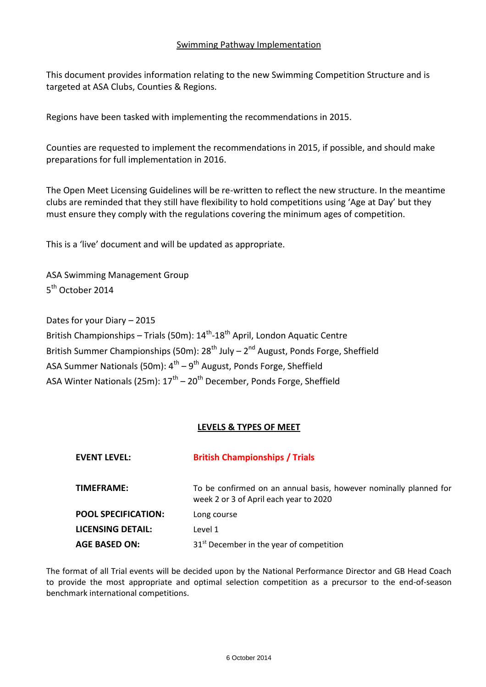# Swimming Pathway Implementation

This document provides information relating to the new Swimming Competition Structure and is targeted at ASA Clubs, Counties & Regions.

Regions have been tasked with implementing the recommendations in 2015.

Counties are requested to implement the recommendations in 2015, if possible, and should make preparations for full implementation in 2016.

The Open Meet Licensing Guidelines will be re-written to reflect the new structure. In the meantime clubs are reminded that they still have flexibility to hold competitions using 'Age at Day' but they must ensure they comply with the regulations covering the minimum ages of competition.

This is a 'live' document and will be updated as appropriate.

ASA Swimming Management Group 5<sup>th</sup> October 2014

Dates for your Diary – 2015 British Championships – Trials (50m): 14<sup>th</sup>-18<sup>th</sup> April, London Aquatic Centre British Summer Championships (50m): 28<sup>th</sup> July – 2<sup>nd</sup> August, Ponds Forge, Sheffield ASA Summer Nationals (50m): 4<sup>th</sup> – 9<sup>th</sup> August, Ponds Forge, Sheffield ASA Winter Nationals (25m): 17<sup>th</sup> – 20<sup>th</sup> December, Ponds Forge, Sheffield

# **LEVELS & TYPES OF MEET**

| <b>EVENT LEVEL:</b>        | <b>British Championships / Trials</b>                                                                       |
|----------------------------|-------------------------------------------------------------------------------------------------------------|
| <b>TIMEFRAME:</b>          | To be confirmed on an annual basis, however nominally planned for<br>week 2 or 3 of April each year to 2020 |
| <b>POOL SPECIFICATION:</b> | Long course                                                                                                 |
| <b>LICENSING DETAIL:</b>   | Level 1                                                                                                     |
| <b>AGE BASED ON:</b>       | 31 <sup>st</sup> December in the year of competition                                                        |

The format of all Trial events will be decided upon by the National Performance Director and GB Head Coach to provide the most appropriate and optimal selection competition as a precursor to the end-of-season benchmark international competitions.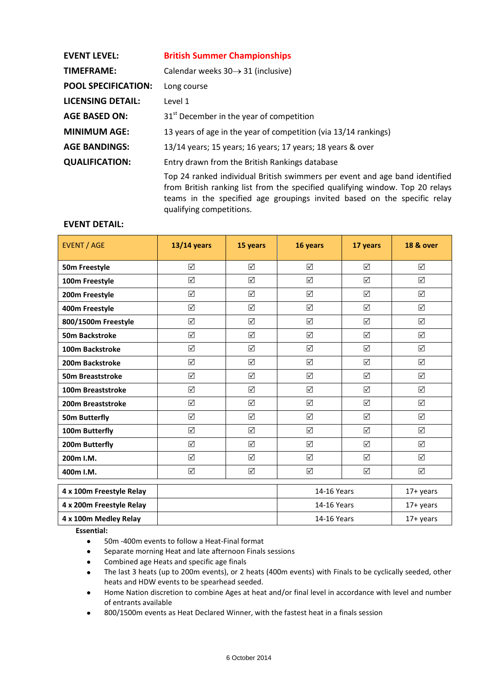| <b>EVENT LEVEL:</b>        | <b>British Summer Championships</b>                                                                                                                                                                                                      |
|----------------------------|------------------------------------------------------------------------------------------------------------------------------------------------------------------------------------------------------------------------------------------|
| <b>TIMEFRAME:</b>          | Calendar weeks $30 \rightarrow 31$ (inclusive)                                                                                                                                                                                           |
| <b>POOL SPECIFICATION:</b> | Long course                                                                                                                                                                                                                              |
| <b>LICENSING DETAIL:</b>   | Level 1                                                                                                                                                                                                                                  |
| <b>AGE BASED ON:</b>       | 31 <sup>st</sup> December in the year of competition                                                                                                                                                                                     |
| <b>MINIMUM AGE:</b>        | 13 years of age in the year of competition (via 13/14 rankings)                                                                                                                                                                          |
| <b>AGE BANDINGS:</b>       | 13/14 years; 15 years; 16 years; 17 years; 18 years & over                                                                                                                                                                               |
| <b>QUALIFICATION:</b>      | Entry drawn from the British Rankings database                                                                                                                                                                                           |
|                            | Top 24 ranked individual British swimmers per event and age band identified<br>from British ranking list from the specified qualifying window. Top 20 relays<br>teams in the specified age groupings invited based on the specific relay |

qualifying competitions.

### **EVENT DETAIL:**

| <b>EVENT / AGE</b>       | $13/14$ years   | 15 years        | 16 years        | 17 years | <b>18 &amp; over</b> |
|--------------------------|-----------------|-----------------|-----------------|----------|----------------------|
| 50m Freestyle            | ☑               | ☑               | ☑               | ☑        | ☑                    |
| 100m Freestyle           | $\triangledown$ | ☑               | ☑               | ☑        | ☑                    |
| 200m Freestyle           | ☑               | ☑               | ☑               | ☑        | ☑                    |
| 400m Freestyle           | $\triangledown$ | ☑               | ☑               | ☑        | ☑                    |
| 800/1500m Freestyle      | ☑               | ☑               | ☑               | ☑        | ☑                    |
| <b>50m Backstroke</b>    | ☑               | ☑               | ☑               | ☑        | ☑                    |
| 100m Backstroke          | ☑               | ☑               | ☑               | ⊠        | ☑                    |
| 200m Backstroke          | $\triangledown$ | ☑               | ☑               | ☑        | ☑                    |
| 50m Breaststroke         | ☑               | ☑               | ☑               | ☑        | ☑                    |
| 100m Breaststroke        | ☑               | ☑               | ☑               | ☑        | ☑                    |
| 200m Breaststroke        | ☑               | ☑               | ☑               | ☑        | ☑                    |
| <b>50m Butterfly</b>     | $\triangledown$ | ☑               | ☑               | ☑        | ☑                    |
| 100m Butterfly           | ☑               | ☑               | ☑               | ☑        | ☑                    |
| 200m Butterfly           | ☑               | ☑               | ☑               | ☑        | ☑                    |
| 200m I.M.                | ☑               | $\triangledown$ | $\triangledown$ | ☑        | ☑                    |
| 400m I.M.                | ☑               | ☑               | ☑               | ☑        | ☑                    |
| 4 x 100m Freestyle Relay |                 |                 | 14-16 Years     |          | $17+$ years          |
| 4 x 200m Freestyle Relay |                 |                 | 14-16 Years     |          | 17+ years            |
| 4 x 100m Medley Relay    |                 |                 | 14-16 Years     |          | $17+$ years          |

**Essential:**

- 50m -400m events to follow a Heat-Final format  $\bullet$
- $\bullet$ Separate morning Heat and late afternoon Finals sessions
- Combined age Heats and specific age finals  $\bullet$
- The last 3 heats (up to 200m events), or 2 heats (400m events) with Finals to be cyclically seeded, other  $\bullet$ heats and HDW events to be spearhead seeded.
- Home Nation discretion to combine Ages at heat and/or final level in accordance with level and number  $\bullet$ of entrants available
- 800/1500m events as Heat Declared Winner, with the fastest heat in a finals session $\bullet$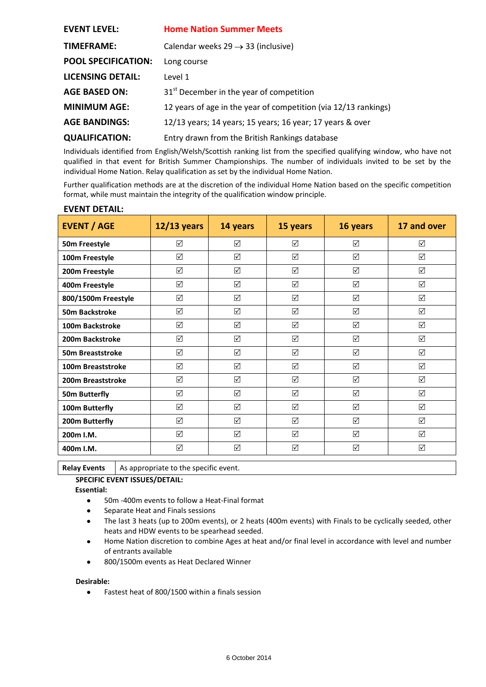| <b>EVENT LEVEL:</b>        | <b>Home Nation Summer Meets</b>                                 |
|----------------------------|-----------------------------------------------------------------|
| TIMEFRAME:                 | Calendar weeks 29 $\rightarrow$ 33 (inclusive)                  |
| <b>POOL SPECIFICATION:</b> | Long course                                                     |
| <b>LICENSING DETAIL:</b>   | Level 1                                                         |
| <b>AGE BASED ON:</b>       | 31 <sup>st</sup> December in the year of competition            |
| <b>MINIMUM AGE:</b>        | 12 years of age in the year of competition (via 12/13 rankings) |
| <b>AGE BANDINGS:</b>       | 12/13 years; 14 years; 15 years; 16 year; 17 years & over       |
| <b>QUALIFICATION:</b>      | Entry drawn from the British Rankings database                  |

Individuals identified from English/Welsh/Scottish ranking list from the specified qualifying window, who have not qualified in that event for British Summer Championships. The number of individuals invited to be set by the individual Home Nation. Relay qualification as set by the individual Home Nation.

Further qualification methods are at the discretion of the individual Home Nation based on the specific competition format, while must maintain the integrity of the qualification window principle.

| <b>EVENT / AGE</b>    | $12/13$ years   | 14 years | 15 years  | 16 years        | 17 and over |
|-----------------------|-----------------|----------|-----------|-----------------|-------------|
| 50m Freestyle         | ☑               | ☑        | ☑         | ☑               | ☑           |
| 100m Freestyle        | ☑               | ☑        | ☑         | ☑               | ☑           |
| 200m Freestyle        | ☑               | ☑        | ☑         | ☑               | ☑           |
| 400m Freestyle        | ☑               | ☑        | ☑         | ☑               | ☑           |
| 800/1500m Freestyle   | ☑               | ☑        | ☑         | ☑               | ☑           |
| <b>50m Backstroke</b> | ☑               | ☑        | ☑         | ☑               | ☑           |
| 100m Backstroke       | ☑               | ☑        | ☑         | $\triangledown$ | ☑           |
| 200m Backstroke       | ☑               | ☑        | ⊠         | ☑               | ☑           |
| 50m Breaststroke      | $\triangledown$ | ☑        | ☑         | ☑               | ☑           |
| 100m Breaststroke     | ☑               | ☑        | ☑         | $\triangledown$ | ☑           |
| 200m Breaststroke     | ☑               | ☑        | ☑         | ☑               | ☑           |
| <b>50m Butterfly</b>  | ☑               | ☑        | ☑         | ☑               | ☑           |
| 100m Butterfly        | ☑               | ☑        | $\sqrt{}$ | ☑               | ☑           |
| 200m Butterfly        | ☑               | ☑        | ☑         | ☑               | $\sqrt{}$   |
| 200m I.M.             | ☑               | ☑        | ☑         | ☑               | ☑           |
| 400m I.M.             | ☑               | ☑        | ☑         | ☑               | ☑           |

### **EVENT DETAIL:**

**Relay Events** | As appropriate to the specific event.

# **SPECIFIC EVENT ISSUES/DETAIL:**

**Essential:**

- 50m -400m events to follow a Heat-Final format  $\bullet$
- Separate Heat and Finals sessions
- The last 3 heats (up to 200m events), or 2 heats (400m events) with Finals to be cyclically seeded, other  $\bullet$ heats and HDW events to be spearhead seeded.
- Home Nation discretion to combine Ages at heat and/or final level in accordance with level and number  $\bullet$ of entrants available
- 800/1500m events as Heat Declared Winner  $\bullet$

#### **Desirable:**

Fastest heat of 800/1500 within a finals session $\bullet$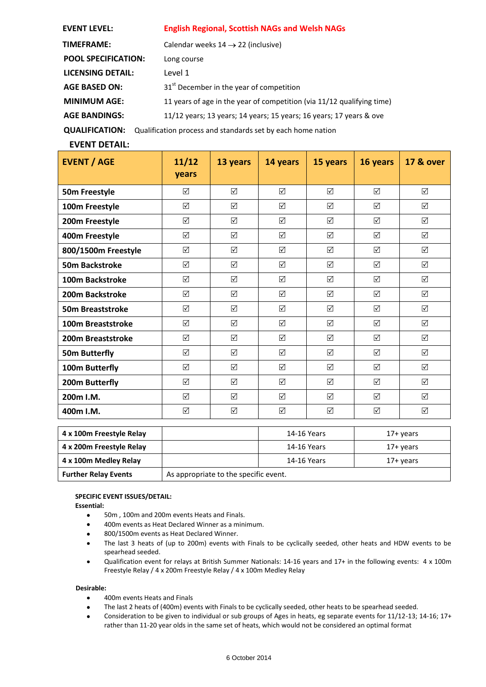| <b>EVENT LEVEL:</b>        | <b>English Regional, Scottish NAGs and Welsh NAGs</b>                  |  |  |
|----------------------------|------------------------------------------------------------------------|--|--|
| <b>TIMEFRAME:</b>          | Calendar weeks $14 \rightarrow 22$ (inclusive)                         |  |  |
| <b>POOL SPECIFICATION:</b> | Long course                                                            |  |  |
| LICENSING DETAIL:          | Level 1                                                                |  |  |
| <b>AGE BASED ON:</b>       | 31 <sup>st</sup> December in the year of competition                   |  |  |
| <b>MINIMUM AGE:</b>        | 11 years of age in the year of competition (via 11/12 qualifying time) |  |  |
| <b>AGE BANDINGS:</b>       | 11/12 years; 13 years; 14 years; 15 years; 16 years; 17 years & ove    |  |  |
| <b>QUALIFICATION:</b>      | Qualification process and standards set by each home nation            |  |  |

### **EVENT DETAIL:**

| <b>EVENT / AGE</b>       | 11/12<br>years | 13 years        | 14 years  | 15 years        | 16 years  | <b>17 &amp; over</b> |
|--------------------------|----------------|-----------------|-----------|-----------------|-----------|----------------------|
| 50m Freestyle            | ☑              | ☑               | ☑         | $\triangledown$ | ☑         | ☑                    |
| 100m Freestyle           | ☑              | ☑               | $\Delta$  | $\triangledown$ | ☑         | ☑                    |
| 200m Freestyle           | ☑              | ☑               | ☑         | ☑               | ☑         | ☑                    |
| 400m Freestyle           | ☑              | ☑               | ☑         | $\triangledown$ | ☑         | ☑                    |
| 800/1500m Freestyle      | ☑              | $\Delta$        | ☑         | ☑               | ☑         | ☑                    |
| <b>50m Backstroke</b>    | $\sqrt{}$      | ☑               | $\sqrt{}$ | ☑               | ☑         | ☑                    |
| 100m Backstroke          | $\Delta$       | $\triangledown$ | $\Delta$  | $\triangledown$ | $\Delta$  | ☑                    |
| 200m Backstroke          | ☑              | ☑               | $\Delta$  | ☑               | ☑         | ☑                    |
| <b>50m Breaststroke</b>  | $\Delta$       | $\Delta$        | $\Delta$  | $\Delta$        | $\Delta$  | $\Delta$             |
| 100m Breaststroke        | ☑              | $\triangledown$ | ☑         | $\triangledown$ | ☑         | ☑                    |
| <b>200m Breaststroke</b> | ☑              | ☑               | ☑         | $\triangledown$ | ☑         | ☑                    |
| <b>50m Butterfly</b>     | ☑              | ☑               | ☑         | $\triangledown$ | ☑         | ☑                    |
| 100m Butterfly           | ☑              | ☑               | ☑         | ☑               | ☑         | ☑                    |
| 200m Butterfly           | ☑              | ☑               | ☑         | ☑               | ☑         | ☑                    |
| 200m I.M.                | ☑              | ☑               | ☑         | ☑               | ☑         | ☑                    |
| 400m I.M.                | $\Delta$       | ☑               | $\sqrt{}$ | ☑               | $\sqrt{}$ | $\sqrt{}$            |
| 4 x 100m Freestyle Relay |                |                 |           | 14-16 Years     |           | $17+$ years          |
| 4 x 200m Freestyle Relay |                |                 |           | 14-16 Years     |           | $17+$ years          |
| 4 x 100m Medley Relay    |                |                 |           | 14-16 Years     |           | $17+$ years          |

#### **SPECIFIC EVENT ISSUES/DETAIL:**

**Essential:**

- 50m , 100m and 200m events Heats and Finals.  $\bullet$
- 400m events as Heat Declared Winner as a minimum.

**Further Relay Events** As appropriate to the specific event.

- 800/1500m events as Heat Declared Winner.
- The last 3 heats of (up to 200m) events with Finals to be cyclically seeded, other heats and HDW events to be spearhead seeded.
- Qualification event for relays at British Summer Nationals: 14-16 years and 17+ in the following events: 4 x 100m  $\bullet$ Freestyle Relay / 4 x 200m Freestyle Relay / 4 x 100m Medley Relay

#### **Desirable:**

- $\bullet$ 400m events Heats and Finals
- The last 2 heats of (400m) events with Finals to be cyclically seeded, other heats to be spearhead seeded.  $\bullet$
- Consideration to be given to individual or sub groups of Ages in heats, eg separate events for 11/12-13; 14-16; 17+  $\bullet$ rather than 11-20 year olds in the same set of heats, which would not be considered an optimal format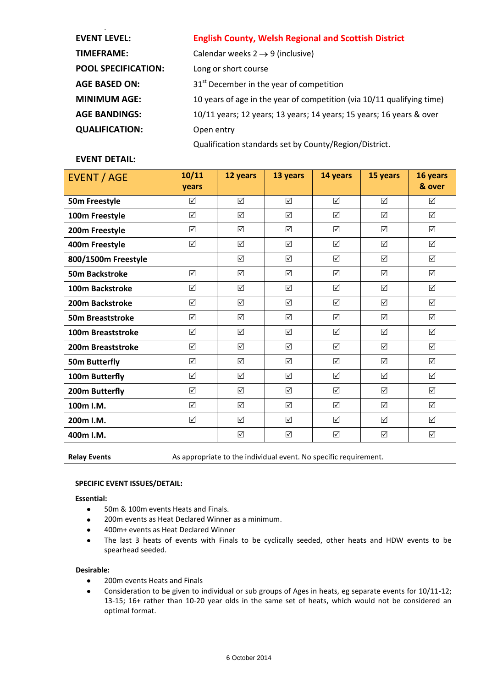| <b>EVENT LEVEL:</b>        | <b>English County, Welsh Regional and Scottish District</b>            |
|----------------------------|------------------------------------------------------------------------|
| <b>TIMEFRAME:</b>          | Calendar weeks $2 \rightarrow 9$ (inclusive)                           |
| <b>POOL SPECIFICATION:</b> | Long or short course                                                   |
| <b>AGE BASED ON:</b>       | 31 <sup>st</sup> December in the year of competition                   |
| <b>MINIMUM AGE:</b>        | 10 years of age in the year of competition (via 10/11 qualifying time) |
| <b>AGE BANDINGS:</b>       | 10/11 years; 12 years; 13 years; 14 years; 15 years; 16 years & over   |
| <b>QUALIFICATION:</b>      | Open entry                                                             |
|                            | Qualification standards set by County/Region/District.                 |

# **EVENT DETAIL:**

| <b>EVENT / AGE</b>      | 10/11<br>years | 12 years | 13 years | 14 years             | 15 years | 16 years<br>& over |
|-------------------------|----------------|----------|----------|----------------------|----------|--------------------|
| 50m Freestyle           | ☑              | ☑        | ☑        | ☑                    | ☑        | ☑                  |
| 100m Freestyle          | ☑              | ☑        | ☑        | ☑                    | ☑        | ☑                  |
| 200m Freestyle          | ☑              | ☑        | ☑        | $\Delta$             | ☑        | ☑                  |
| 400m Freestyle          | ☑              | ☑        | ☑        | $\boxed{\checkmark}$ | ☑        | ☑                  |
| 800/1500m Freestyle     |                | ☑        | ☑        | ☑                    | ☑        | ☑                  |
| <b>50m Backstroke</b>   | $\Delta$       | ☑        | ☑        | $\Delta$             | ☑        | $\sqrt{}$          |
| 100m Backstroke         | ☑              | ☑        | ☑        | $\boxed{\checkmark}$ | ☑        | ☑                  |
| 200m Backstroke         | ☑              | ☑        | ☑        | $\triangledown$      | ☑        | ☑                  |
| <b>50m Breaststroke</b> | $\sqrt{}$      | ☑        | ☑        | $\triangledown$      | ☑        | ☑                  |
| 100m Breaststroke       | ☑              | ☑        | ☑        | ☑                    | ☑        | ☑                  |
| 200m Breaststroke       | ☑              | ☑        | ☑        | $\Delta$             | ☑        | ☑                  |
| <b>50m Butterfly</b>    | ☑              | ☑        | ☑        | ☑                    | ☑        | ☑                  |
| 100m Butterfly          | ☑              | ☑        | ☑        | ☑                    | $\Delta$ | ☑                  |
| 200m Butterfly          | ☑              | ☑        | ☑        | $\triangledown$      | ☑        | ☑                  |
| 100m I.M.               | ☑              | ☑        | ☑        | $\triangledown$      | ☑        | ☑                  |
| 200m I.M.               | $\sqrt{}$      | ☑        | ☑        | $\triangledown$      | ☑        | $\sqrt{}$          |
| 400m I.M.               |                | ☑        | ☑        | $\triangledown$      | ☑        | ☑                  |

**Relay Events** As appropriate to the individual event. No specific requirement.

#### **SPECIFIC EVENT ISSUES/DETAIL:**

#### **Essential:**

- 50m & 100m events Heats and Finals.  $\bullet$
- $\bullet$ 200m events as Heat Declared Winner as a minimum.
- 400m+ events as Heat Declared Winner  $\bullet$
- The last 3 heats of events with Finals to be cyclically seeded, other heats and HDW events to be  $\bullet$ spearhead seeded.

#### **Desirable:**

- 200m events Heats and Finals  $\bullet$
- Consideration to be given to individual or sub groups of Ages in heats, eg separate events for 10/11-12;  $\bullet$ 13-15; 16+ rather than 10-20 year olds in the same set of heats, which would not be considered an optimal format.